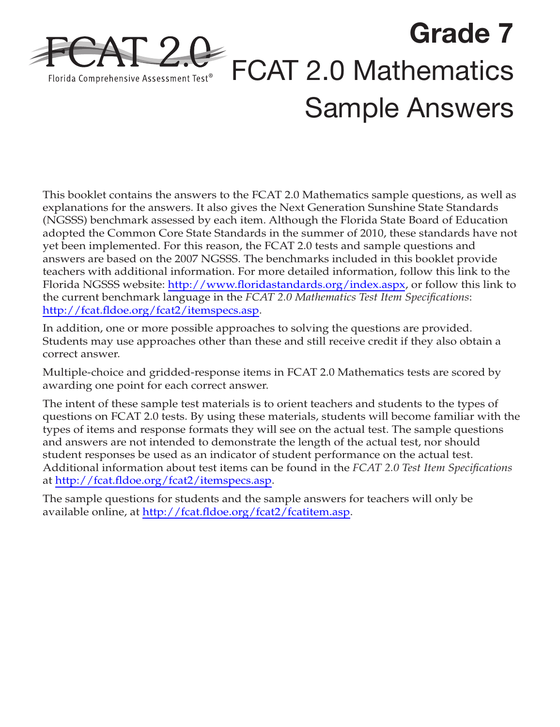

This booklet contains the answers to the FCAT 2.0 Mathematics sample questions, as well as explanations for the answers. It also gives the Next Generation Sunshine State Standards (NGSSS) benchmark assessed by each item. Although the Florida State Board of Education adopted the Common Core State Standards in the summer of 2010, these standards have not yet been implemented. For this reason, the FCAT 2.0 tests and sample questions and answers are based on the 2007 NGSSS. The benchmarks included in this booklet provide teachers with additional information. For more detailed information, follow this link to the Florida NGSSS website: <http://www.floridastandards.org/index.aspx>, or follow this link to the current benchmark language in the *FCAT 2.0 Mathematics Test Item Specifications*: <http://fcat.fldoe.org/fcat2/itemspecs.asp>.

In addition, one or more possible approaches to solving the questions are provided. Students may use approaches other than these and still receive credit if they also obtain a correct answer.

Multiple-choice and gridded-response items in FCAT 2.0 Mathematics tests are scored by awarding one point for each correct answer.

The intent of these sample test materials is to orient teachers and students to the types of questions on FCAT 2.0 tests. By using these materials, students will become familiar with the types of items and response formats they will see on the actual test. The sample questions and answers are not intended to demonstrate the length of the actual test, nor should student responses be used as an indicator of student performance on the actual test. Additional information about test items can be found in the *FCAT 2.0 Test Item Specifications* at [http://fcat.fldoe.org/fcat2/itemspecs.asp.](http://fcat.fldoe.org/fcat2/itemspecs.asp)

The sample questions for students and the sample answers for teachers will only be available online, at <http://fcat.fldoe.org/fcat2/fcatitem.asp>.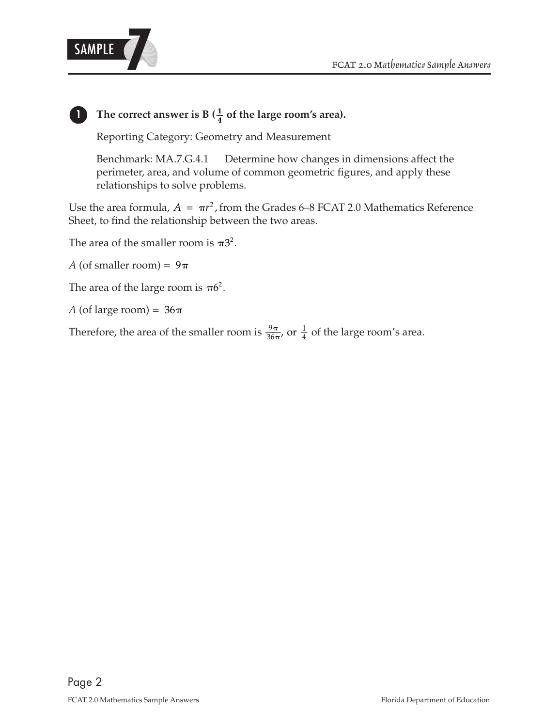

## **1 The correct answer is B** ( $\frac{1}{4}$  of the large room's area).

Reporting Category: Geometry and Measurement

Benchmark: MA.7.G.4.1 Determine how changes in dimensions affect the perimeter, area, and volume of common geometric figures, and apply these relationships to solve problems.

Use the area formula,  $A = \pi r^2$ , from the Grades 6–8 FCAT 2.0 Mathematics Reference Sheet, to find the relationship between the two areas.

The area of the smaller room is  $\pi 3^2$ .

 $A$  (of smaller room) = 9

The area of the large room is  $\pi 6^2$ .

*A* (of large room) = 36

Therefore, the area of the smaller room is  $\frac{9\pi}{36\pi}$ , or  $\frac{1}{4}$  of the large room's area.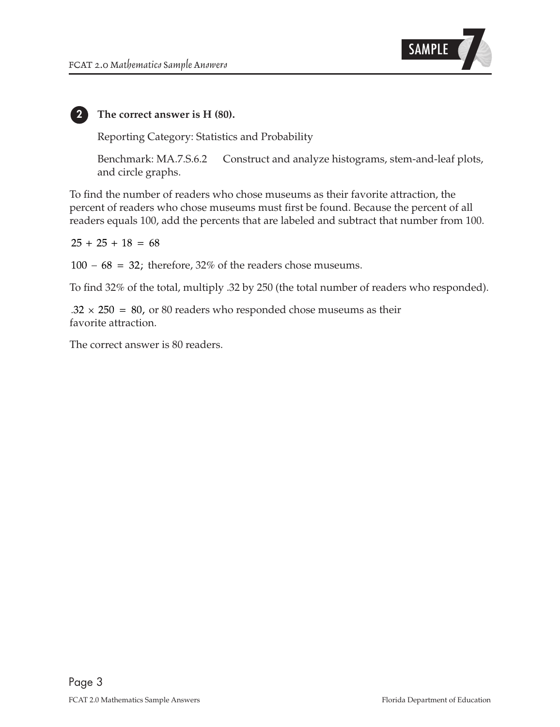

#### **2 The correct answer is H (80).**

Reporting Category: Statistics and Probability

Benchmark: MA.7.S.6.2 Construct and analyze histograms, stem-and-leaf plots, and circle graphs.

To find the number of readers who chose museums as their favorite attraction, the percent of readers who chose museums must first be found. Because the percent of all readers equals 100, add the percents that are labeled and subtract that number from 100.

 $25 + 25 + 18 = 68$ 

 $100 - 68 = 32$ ; therefore, 32% of the readers chose museums.

To find 32% of the total, multiply .32 by 250 (the total number of readers who responded).

 $.32 \times 250 = 80$ , or 80 readers who responded chose museums as their favorite attraction.

The correct answer is 80 readers.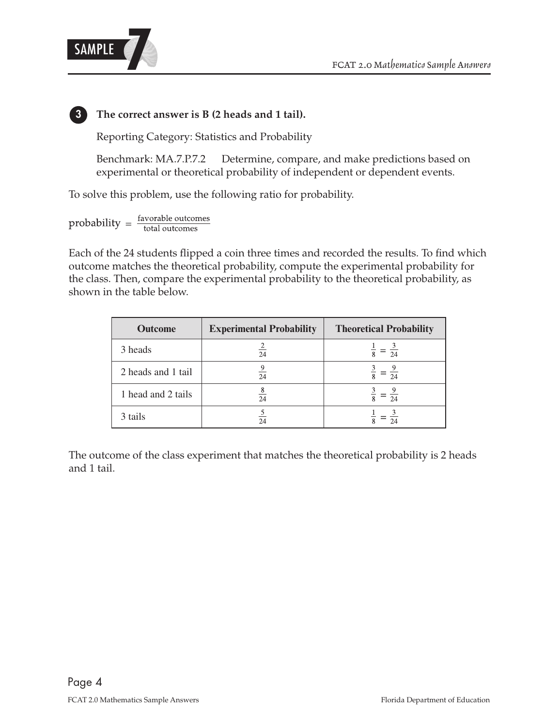



### **3 The correct answer is B (2 heads and 1 tail).**

Reporting Category: Statistics and Probability

Benchmark: MA.7.P.7.2 Determine, compare, and make predictions based on experimental or theoretical probability of independent or dependent events.

To solve this problem, use the following ratio for probability.

 $probability = \frac{favorable outcomes}{total outcomes}$ 

Each of the 24 students flipped a coin three times and recorded the results. To find which outcome matches the theoretical probability, compute the experimental probability for the class. Then, compare the experimental probability to the theoretical probability, as shown in the table below.

| <b>Outcome</b>     | <b>Experimental Probability</b> | <b>Theoretical Probability</b> |
|--------------------|---------------------------------|--------------------------------|
| 3 heads            | $rac{2}{24}$                    | $\frac{1}{8} = \frac{3}{24}$   |
| 2 heads and 1 tail | $\overline{24}$                 | $\frac{3}{8} = \frac{9}{24}$   |
| 1 head and 2 tails | $\frac{8}{24}$                  | $\frac{3}{8} = \frac{9}{24}$   |
| 3 tails            | $\overline{24}$                 | $\frac{1}{8} = \frac{1}{24}$   |

The outcome of the class experiment that matches the theoretical probability is 2 heads and 1 tail.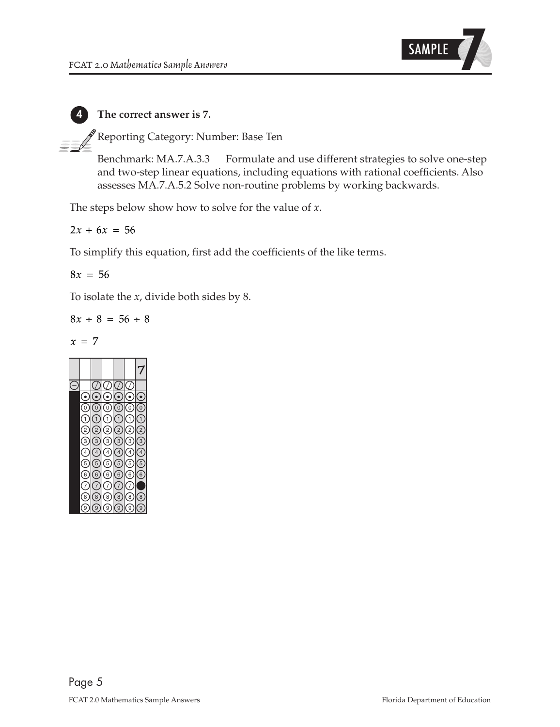

#### **4 The correct answer is 7.**

Reporting Category: Number: Base Ten

Benchmark: MA.7.A.3.3 Formulate and use different strategies to solve one-step and two-step linear equations, including equations with rational coefficients. Also assesses MA.7.A.5.2 Solve non-routine problems by working backwards.

The steps below show how to solve for the value of *x*.

 $2x + 6x = 56$ 

To simplify this equation, first add the coefficients of the like terms.

 $8x = 56$ 

To isolate the *x*, divide both sides by 8.

 $8x \div 8 = 56 \div 8$ 

$$
x = 7
$$

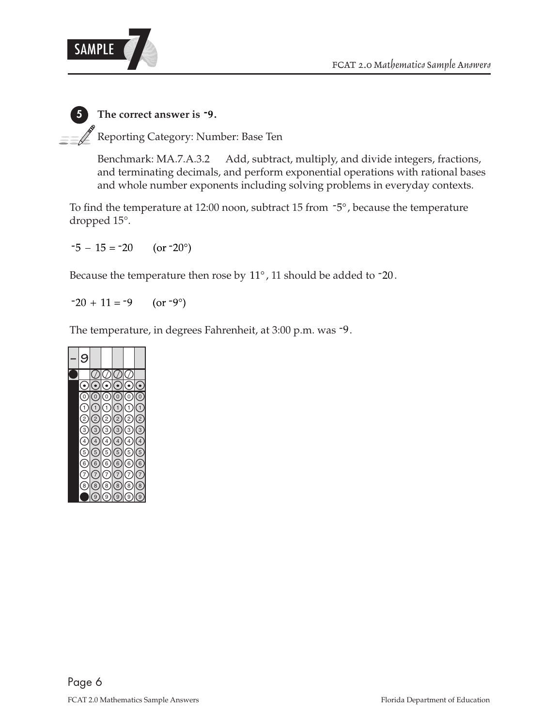

 **. 5 The correct answer is -9 EVALUAN** Reporting Category: Number: Base Ten

> Benchmark: MA.7.A.3.2 Add, subtract, multiply, and divide integers, fractions, and terminating decimals, and perform exponential operations with rational bases and whole number exponents including solving problems in everyday contexts.

To find the temperature at 12:00 noon, subtract 15 from  $-5^{\circ}$ , because the temperature dropped 15°.

 $-5 - 15 = -20$ (or  $-20^\circ$ )

Because the temperature then rose by 11°, 11 should be added to -20.

 $-20 + 11 = -9$ (or  $-9^\circ$ )

The temperature, in degrees Fahrenheit, at 3:00 p.m. was -9.

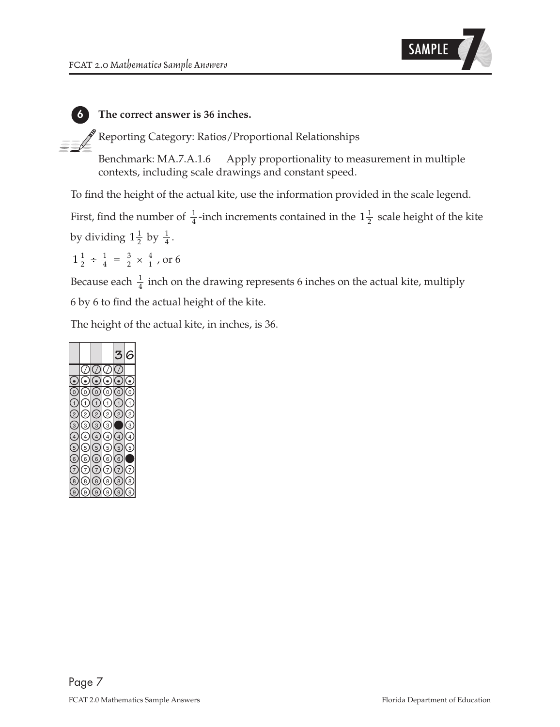

#### **6 The correct answer is 36 inches.**

 $\,\mathscr{F}$ Reporting Category: Ratios/Proportional Relationships

Benchmark: MA.7.A.1.6 Apply proportionality to measurement in multiple contexts, including scale drawings and constant speed.

To find the height of the actual kite, use the information provided in the scale legend.

by dividing  $1\frac{1}{2}$  by  $\frac{1}{4}$ .  $1\frac{1}{2}$ 1 First, find the number of  $\frac{1}{4}$ -inch increments contained in the  $1\frac{1}{2}$  scale height of the kite

$$
1\frac{1}{2} \div \frac{1}{4} = \frac{3}{2} \times \frac{4}{1}
$$
, or 6

1 Because each  $\frac{1}{4}$  inch on the drawing represents 6 inches on the actual kite, multiply 6 by 6 to find the actual height of the kite.

The height of the actual kite, in inches, is 36.

|                |                    |                   |                  | ę                  |                |
|----------------|--------------------|-------------------|------------------|--------------------|----------------|
|                |                    |                   |                  |                    |                |
|                |                    |                   |                  |                    |                |
| 0              | 0                  | $\overline{0}$    | 0)               | 0)                 | 0              |
|                | $\left( 1 \right)$ | $\overline{1}$    | $\mathbf{1}$     | $\mathbf{1}$       | $\mathbf{1}$   |
| $^{2}$         | 2                  | $\overline{c}$    | 2                | $\overline{2}$     | $\frac{1}{2}$  |
| 3              | 3                  | 3                 | (з               |                    | ζ3             |
| $\overline{4}$ | $\left(4\right)$   | $\left( 4\right)$ | $\left(4\right)$ | $\left  4 \right $ | $\overline{4}$ |
| 5              | 5)                 | 5                 | 5                | 5                  | 5              |
| 6              | 6                  | 6                 | 6                | (6                 |                |
|                | 7                  |                   | 7                | 7                  | $^{\prime}$ 7  |
| $\overline{8}$ | $\overline{8}$     | 8                 | $\overline{8}$   | 8                  | 8              |
| ë,             | 9                  | 9                 | 9                | g.                 | ć              |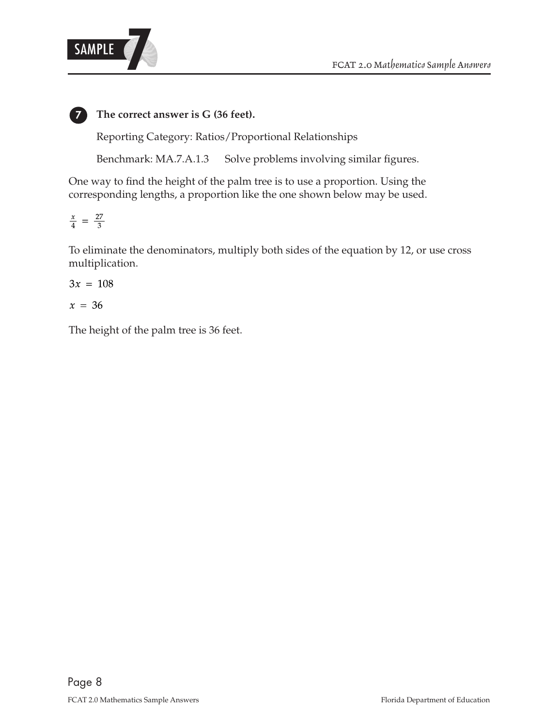

**7 The correct answer is G (36 feet).**

Reporting Category: Ratios/Proportional Relationships

Benchmark: MA.7.A.1.3 Solve problems involving similar figures.

One way to find the height of the palm tree is to use a proportion. Using the corresponding lengths, a proportion like the one shown below may be used.

$$
\frac{x}{4} = \frac{27}{3}
$$

To eliminate the denominators, multiply both sides of the equation by 12, or use cross multiplication.

$$
3x = 108
$$

 $x = 36$ 

The height of the palm tree is 36 feet.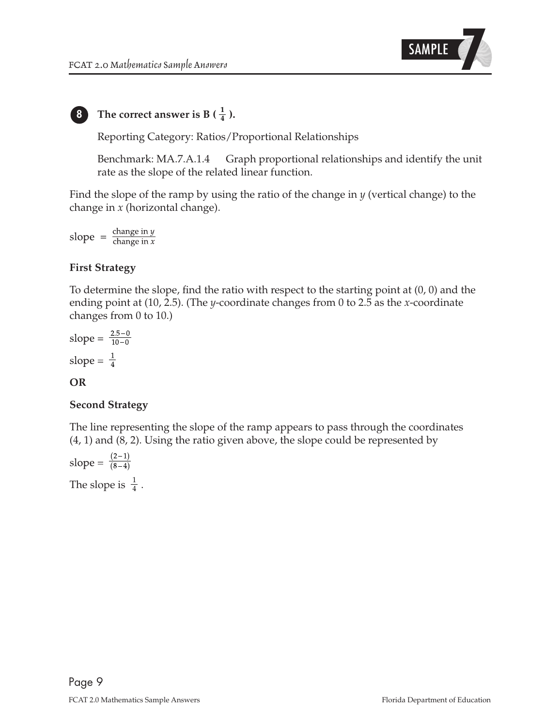

# **8 1 1 1 <b>1 1 1 1 1 1 1 1 1 1 1 1 1 1 1 1 1 1 1 1 1 1 1 1 1 1 1 1 1 1 1 1 1 1**

Reporting Category: Ratios/Proportional Relationships

Benchmark: MA.7.A.1.4 Graph proportional relationships and identify the unit rate as the slope of the related linear function.

Find the slope of the ramp by using the ratio of the change in *y* (vertical change) to the change in *x* (horizontal change).

slope =  $\frac{\text{change in } y}{\text{change in } x}$ 

### **First Strategy**

To determine the slope, find the ratio with respect to the starting point at (0, 0) and the ending point at (10, 2.5). (The *y*-coordinate changes from 0 to 2.5 as the *x*-coordinate changes from 0 to 10.)

slope =  $\frac{2.5-0}{10-0}$ slope =  $\frac{1}{4}$ 

#### **OR**

#### **Second Strategy**

The line representing the slope of the ramp appears to pass through the coordinates (4, 1) and (8, 2). Using the ratio given above, the slope could be represented by

slope =  $\frac{(2-1)}{(8-4)}$ 

The slope is  $\frac{1}{4}$ .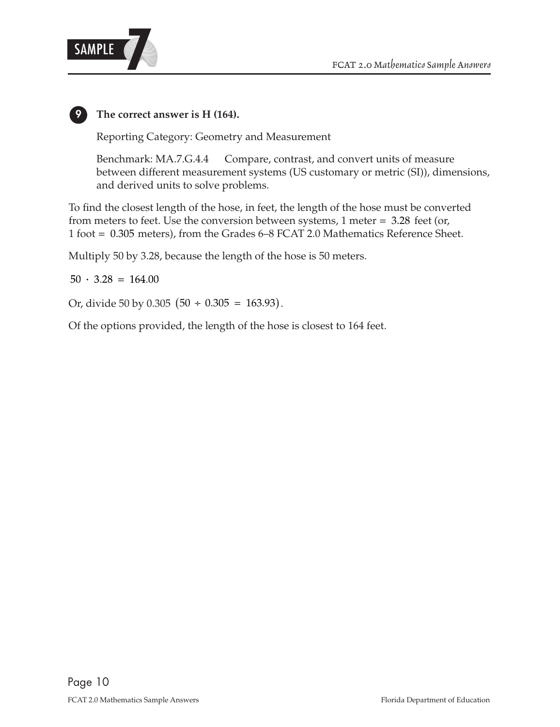

### **9 The correct answer is H (164).**

Reporting Category: Geometry and Measurement

Benchmark: MA.7.G.4.4 Compare, contrast, and convert units of measure between different measurement systems (US customary or metric (SI)), dimensions, and derived units to solve problems.

1 foot = 0 305. meters), from the Grades 6–8 FCAT 2.0 Mathematics Reference Sheet. from meters to feet. Use the conversion between systems,  $1$  meter  $= 3.28$  feet (or, To find the closest length of the hose, in feet, the length of the hose must be converted

Multiply 50 by 3.28, because the length of the hose is 50 meters.

 $50 \cdot 3.28 = 164.00$ 

Or, divide 50 by 0.305  $(50 \div 0.305 = 163.93)$ .

Of the options provided, the length of the hose is closest to 164 feet.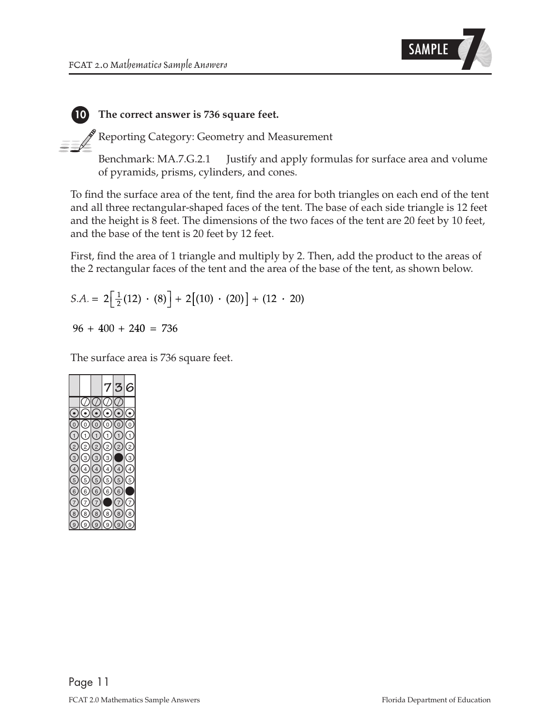

#### **10 The correct answer is 736 square feet.**

 $\mathscr I$  Reporting Category: Geometry and Measurement

Benchmark: MA.7.G.2.1 Justify and apply formulas for surface area and volume of pyramids, prisms, cylinders, and cones.

To find the surface area of the tent, find the area for both triangles on each end of the tent and all three rectangular-shaped faces of the tent. The base of each side triangle is 12 feet and the height is 8 feet. The dimensions of the two faces of the tent are 20 feet by 10 feet, and the base of the tent is 20 feet by 12 feet.

First, find the area of 1 triangle and multiply by 2. Then, add the product to the areas of the 2 rectangular faces of the tent and the area of the base of the tent, as shown below.

$$
S.A. = 2\left[\frac{1}{2}(12) \cdot (8)\right] + 2\left[(10) \cdot (20)\right] + (12 \cdot 20)
$$

 $96 + 400 + 240 = 736$ 

The surface area is 736 square feet.

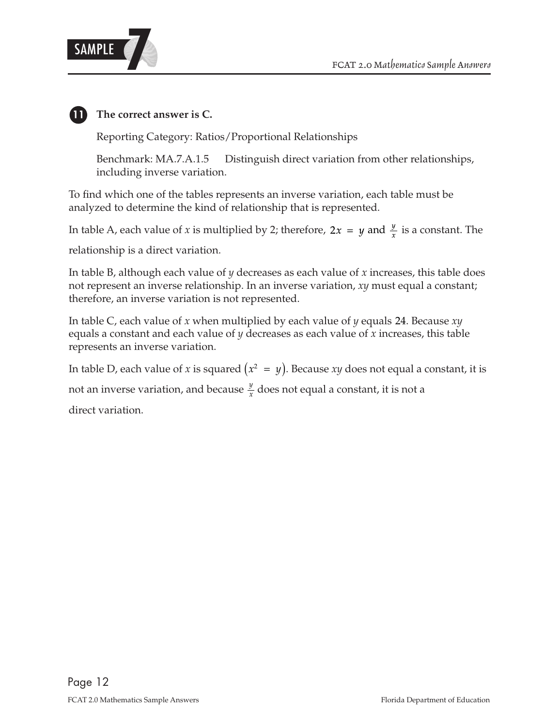

# **11 The correct answer is C.**

Reporting Category: Ratios/Proportional Relationships

Benchmark: MA.7.A.1.5 Distinguish direct variation from other relationships, including inverse variation.

To find which one of the tables represents an inverse variation, each table must be analyzed to determine the kind of relationship that is represented.

In table A, each value of x is multiplied by 2; therefore,  $2x = y$  and  $\frac{y}{x}$  is a constant. The relationship is a direct variation.

In table B, although each value of *y* decreases as each value of *x* increases, this table does not represent an inverse relationship. In an inverse variation, *xy* must equal a constant; therefore, an inverse variation is not represented.

In table C, each value of x when multiplied by each value of y equals 24. Because  $xy$ equals a constant and each value of *y* decreases as each value of *x* increases, this table represents an inverse variation.

In table D, each value of *x* is squared  $(x^2\; = \; y).$  Because *xy* does not equal a constant, it is

*y* not an inverse variation, and because  $\frac{y}{x}$  does not equal a constant, it is not a

direct variation.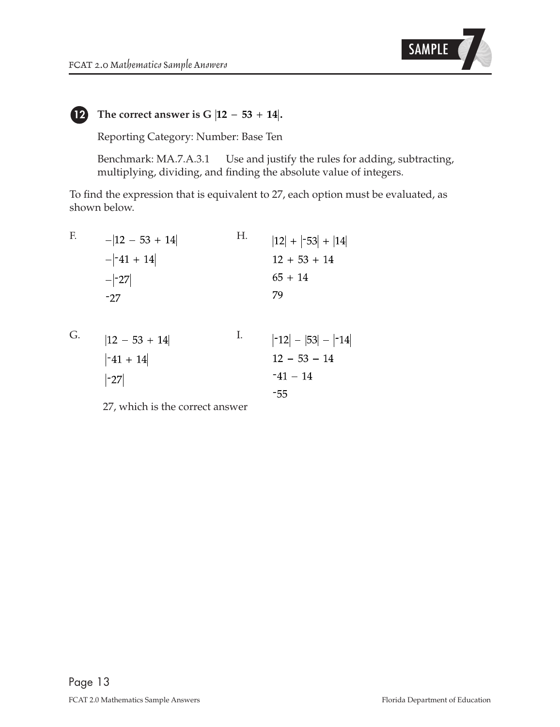

### **12** The correct answer is  $G$   $|12 - 53 + 14|$ .

Reporting Category: Number: Base Ten

Benchmark: MA.7.A.3.1 Use and justify the rules for adding, subtracting, multiplying, dividing, and finding the absolute value of integers.

To find the expression that is equivalent to 27, each option must be evaluated, as shown below.

$$
\mathbf{F}_{\cdot}
$$

$$
-|12 - 53 + 14|
$$
  
\n
$$
-|{-41 + 14}|
$$
  
\n
$$
-|{-27}|
$$
  
\n
$$
-|{-27}|
$$
  
\n
$$
-|{-27}|
$$
  
\n
$$
-|{-27}|
$$
  
\n
$$
-|{-27}|
$$
  
\n
$$
-|{-27}|
$$
  
\n
$$
-|{-27}|
$$
  
\n
$$
-|{-27}|
$$
  
\n
$$
-|{-27}|
$$
  
\n
$$
-|{-27}|
$$
  
\n
$$
-|{-27}|
$$
  
\n
$$
-|{-27}|
$$
  
\n
$$
-|{-27}|
$$
  
\n
$$
-|{-27}|
$$
  
\n
$$
-|{-27}|
$$
  
\n
$$
-|{-27}|
$$
  
\n
$$
-|{-27}|
$$
  
\n
$$
-|{-27}|
$$
  
\n
$$
-|{-27}|
$$
  
\n
$$
-|{-27}|
$$
  
\n
$$
-|{-27}|
$$
  
\n
$$
-|{-27}|
$$
  
\n
$$
-|{-27}|
$$
  
\n
$$
-|{-27}|
$$
  
\n
$$
-|{-27}|
$$
  
\n
$$
-|{-27}|
$$
  
\n
$$
-|{-27}|
$$
  
\n
$$
-|{-27}|
$$
  
\n
$$
-|{-27}|
$$
  
\n
$$
-|{-27}|
$$
  
\n
$$
-|{-27}|
$$
  
\n
$$
-|{-27}|
$$
  
\n
$$
-|{-27}|
$$
  
\n
$$
-|{-27}|
$$
  
\n
$$
-|{-27}|
$$
  
\n
$$
-|{-27}|
$$
  
\n
$$
-|{-27}|
$$
  
\n
$$
-|{-27}|
$$
  
\n
$$
-|{-27}|
$$
  
\n
$$
-|{-27}|
$$

G.

| $ 12 - 53 + 14 $ | $ -12  -  53  -  -14 $ |
|------------------|------------------------|
| $-41 + 14$       | $12 - 53 - 14$         |
| $ -27 $          | $-41 - 14$             |
|                  | -55                    |

27, which is the correct answer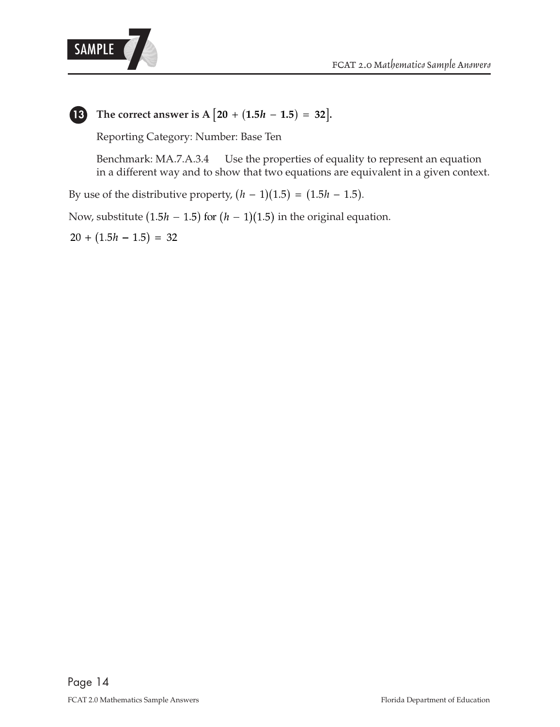



**13 The correct answer is A**  $\left[ 20 + (1.5h - 1.5) = 32 \right]$ .

Reporting Category: Number: Base Ten

Benchmark: MA.7.A.3.4 Use the properties of equality to represent an equation in a different way and to show that two equations are equivalent in a given context.

By use of the distributive property,  $(h - 1)(1.5) = (1.5h - 1.5)$ .

Now, substitute (1.5 $h$  – 1.5) for ( $h$  – 1)(1.5) in the original equation.

 $20 + (1.5h - 1.5) = 32$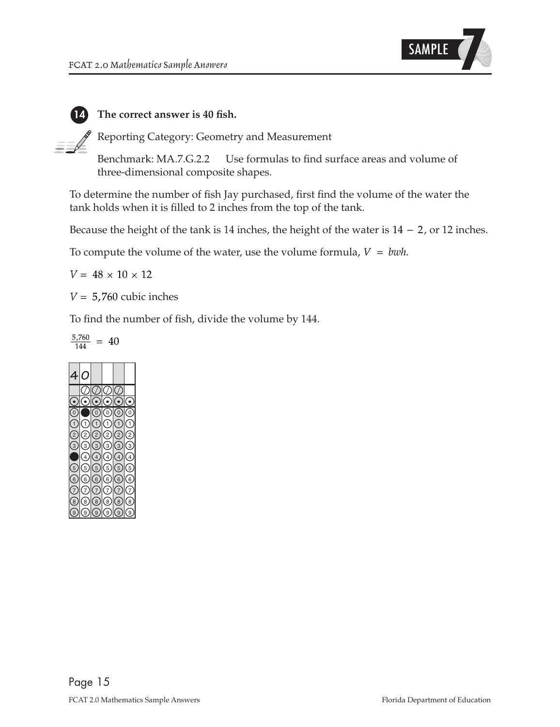

#### **14 The correct answer is 40 fish.**

Reporting Category: Geometry and Measurement

Benchmark: MA.7.G.2.2 Use formulas to find surface areas and volume of three-dimensional composite shapes.

To determine the number of fish Jay purchased, first find the volume of the water the tank holds when it is filled to 2 inches from the top of the tank.

Because the height of the tank is 14 inches, the height of the water is  $14 - 2$ , or 12 inches.

To compute the volume of the water, use the volume formula,  $V = bwh$ .

 $V = 48 \times 10 \times 12$ 

 $V = 5,760$  cubic inches

To find the number of fish, divide the volume by 144.

$$
\frac{5,760}{144} = 40
$$